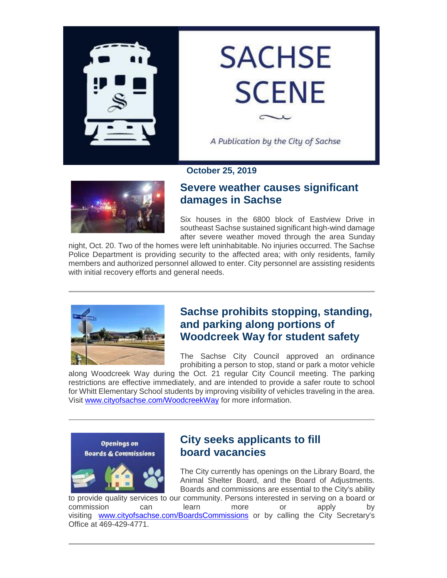

# **SACHSE SCENE**

A Publication by the City of Sachse

**October 25, 2019**



## **Severe weather causes significant damages in Sachse**

Six houses in the 6800 block of Eastview Drive in southeast Sachse sustained significant high-wind damage after severe weather moved through the area Sunday

night, Oct. 20. Two of the homes were left uninhabitable. No injuries occurred. The Sachse Police Department is providing security to the affected area; with only residents, family members and authorized personnel allowed to enter. City personnel are assisting residents with initial recovery efforts and general needs.



#### **Sachse prohibits stopping, standing, and parking along portions of Woodcreek Way for student safety**

The Sachse City Council approved an ordinance prohibiting a person to stop, stand or park a motor vehicle

along Woodcreek Way during the Oct. 21 regular City Council meeting. The parking restrictions are effective immediately, and are intended to provide a safer route to school for Whitt Elementary School students by improving visibility of vehicles traveling in the area. Visit [www.cityofsachse.com/WoodcreekWay](https://gcc02.safelinks.protection.outlook.com/?url=http%3A%2F%2Fwww.cityofsachse.com%2FWoodcreekWay&data=02%7C01%7Cjwhitworth%40cityofsachse.com%7C0bfa9da4a4c94d7c0a9a08d75996df8c%7C2a2b11936d0c45a9ae5a7c6641125792%7C0%7C1%7C637076376846019299&sdata=NPGzYeZDmBTgAPE3%2BK%2FYtS4qO752xGoteNqHR9OWuF0%3D&reserved=0) for more information.



#### **City seeks applicants to fill board vacancies**

The City currently has openings on the Library Board, the Animal Shelter Board, and the Board of Adjustments. Boards and commissions are essential to the City's ability

to provide quality services to our community. Persons interested in serving on a board or commission can learn more or apply by visiting [www.cityofsachse.com/BoardsCommissions](https://gcc02.safelinks.protection.outlook.com/?url=http%3A%2F%2Fwww.cityofsachse.com%2FBoardsCommissions&data=02%7C01%7Cjwhitworth%40cityofsachse.com%7C0bfa9da4a4c94d7c0a9a08d75996df8c%7C2a2b11936d0c45a9ae5a7c6641125792%7C0%7C1%7C637076376846029293&sdata=PdiDxMGmr84VxInQz5sJp43u6T3XqWK3E3hoJXCTdcQ%3D&reserved=0) or by calling the City Secretary's Office at 469-429-4771.